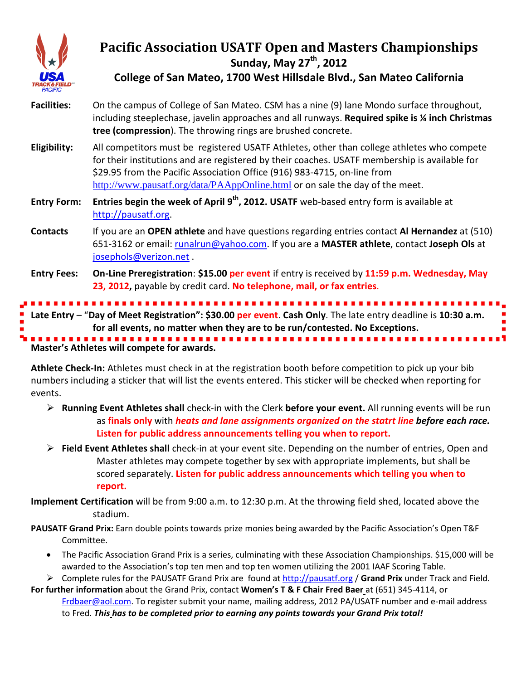

# **Pacific Association USATF Open and Masters Championships Sunday, May 27<sup>th</sup>, 2012**

**College of San Mateo, 1700 West Hillsdale Blvd., San Mateo California**

- **Facilities:** On the campus of College of San Mateo. CSM has a nine (9) lane Mondo surface throughout, including steeplechase, javelin approaches and all runways. **Required spike is ¼ inch Christmas tree (compression**). The throwing rings are brushed concrete.
- **Eligibility:** All competitors must be registered USATF Athletes, other than college athletes who compete for their institutions and are registered by their coaches. USATF membership is available for \$29.95 from the Pacific Association Office (916) 983-4715, on-line from <http://www.pausatf.org/data/PAAppOnline.html> or on sale the day of the meet.
- **Entry Form: Entries begin the week of April 9th, 2012. USATF** web-based entry form is available at [http://pausatf.org.](http://pausatf.org/)
- **Contacts** If you are an **OPEN athlete** and have questions regarding entries contact **Al Hernandez** at (510) 651-3162 or email: [runalrun@yahoo.com.](mailto:runalrun@yahoo.com) If you are a **MASTER athlete**, contact **Joseph Ols** at [josephols@verizon.net](mailto:josephols@verizon.net) .
- **Entry Fees: On-Line Preregistration**: **\$15.00 per event** if entry is received by **11:59 p.m. Wednesday, May 23, 2012,** payable by credit card. **No telephone, mail, or fax entries**.

**Master's Athletes will compete for awards. Late Entry** – "**Day of Meet Registration": \$30.00 per event**. **Cash Only**. The late entry deadline is **10:30 a.m. for all events, no matter when they are to be run/contested. No Exceptions.**

**Athlete Check-In:** Athletes must check in at the registration booth before competition to pick up your bib numbers including a sticker that will list the events entered. This sticker will be checked when reporting for events.

- **Running Event Athletes shall** check-in with the Clerk **before your event.** All running events will be run as **finals only** with *heats and lane assignments organized on the statrt line before each race.* **Listen for public address announcements telling you when to report.**
- **Field Event Athletes shall** check-in at your event site. Depending on the number of entries, Open and Master athletes may compete together by sex with appropriate implements, but shall be scored separately. **Listen for public address announcements which telling you when to report.**

**Implement Certification** will be from 9:00 a.m. to 12:30 p.m. At the throwing field shed, located above the stadium.

- **PAUSATF Grand Prix:** Earn double points towards prize monies being awarded by the Pacific Association's Open T&F Committee.
	- The Pacific Association Grand Prix is a series, culminating with these Association Championships. \$15,000 will be awarded to the Association's top ten men and top ten women utilizing the 2001 IAAF Scoring Table.
	- Complete rules for the PAUSATF Grand Prix are found at [http://pausatf.org](http://pausatf.org/) / **Grand Prix** under Track and Field.
- **For further information** about the Grand Prix, contact **Women's T & F Chair Fred Baer** at (651) 345-4114, or [Frdbaer@aol.com.](mailto:Frdbaer@aol.com) To register submit your name, mailing address, 2012 PA/USATF number and e-mail address to Fred. *This has to be completed prior to earning any points towards your Grand Prix total!*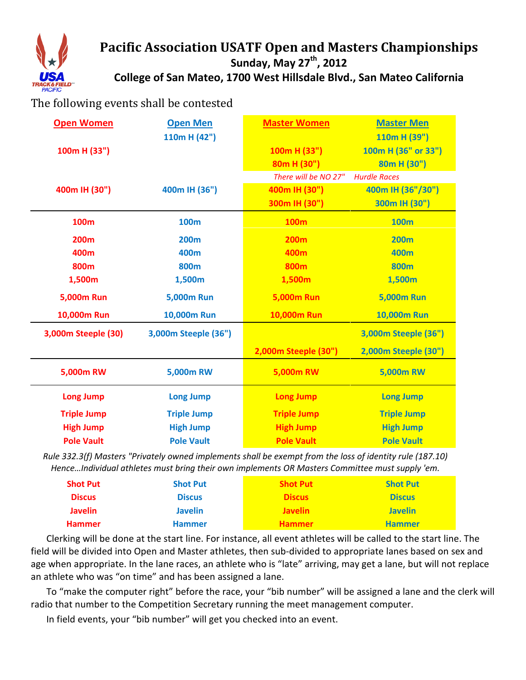

## **Pacific Association USATF Open and Masters Championships** Sunday, May 27<sup>th</sup>, 2012 **College of San Mateo, 1700 West Hillsdale Blvd., San Mateo California**

## The following events shall be contested

| <b>Open Women</b>   | <b>Open Men</b>      | <b>Master Women</b>  | <b>Master Men</b>    |
|---------------------|----------------------|----------------------|----------------------|
|                     | 110m H $(42")$       |                      | 110m H (39")         |
| 100m H (33")        |                      | 100m H (33")         | 100m H (36" or 33")  |
|                     |                      | 80m H (30")          | 80m H (30")          |
|                     |                      | There will be NO 27" | <b>Hurdle Races</b>  |
| 400m IH (30")       | 400m IH (36")        | 400m IH (30")        | 400m IH (36"/30")    |
|                     |                      | 300m IH (30")        | 300m IH (30")        |
| 100m                | <b>100m</b>          | <b>100m</b>          | <b>100m</b>          |
| <b>200m</b>         | <b>200m</b>          | <b>200m</b>          | <b>200m</b>          |
| 400m                | 400m                 | 400m                 | 400m                 |
| 800m                | 800 <sub>m</sub>     | 800 <sub>m</sub>     | <b>800m</b>          |
| 1,500m              | 1,500m               | 1,500m               | 1,500m               |
| <b>5,000m Run</b>   | <b>5,000m Run</b>    | <b>5,000m Run</b>    | <b>5,000m Run</b>    |
| 10,000m Run         | 10,000m Run          | <b>10,000m Run</b>   | <b>10,000m Run</b>   |
| 3,000m Steeple (30) | 3,000m Steeple (36") |                      | 3,000m Steeple (36") |
|                     |                      | 2,000m Steeple (30") | 2,000m Steeple (30") |
| 5,000m RW           | 5,000m RW            | 5,000m RW            | 5,000m RW            |
| <b>Long Jump</b>    | <b>Long Jump</b>     | <b>Long Jump</b>     | <b>Long Jump</b>     |
| <b>Triple Jump</b>  | <b>Triple Jump</b>   | <b>Triple Jump</b>   | <b>Triple Jump</b>   |
| <b>High Jump</b>    | <b>High Jump</b>     | <b>High Jump</b>     | <b>High Jump</b>     |
| <b>Pole Vault</b>   | <b>Pole Vault</b>    | <b>Pole Vault</b>    | <b>Pole Vault</b>    |

*Rule 332.3(f) Masters "Privately owned implements shall be exempt from the loss of identity rule (187.10) Hence…Individual athletes must bring their own implements OR Masters Committee must supply 'em.*

| <b>Shot Put</b> | <b>Shot Put</b> | <b>Shot Put</b> | <b>Shot Put</b> |
|-----------------|-----------------|-----------------|-----------------|
| <b>Discus</b>   | <b>Discus</b>   | <b>Discus</b>   | <b>Discus</b>   |
| <b>Javelin</b>  | <b>Javelin</b>  | <b>Javelin</b>  | <b>Javelin</b>  |
| <b>Hammer</b>   | <b>Hammer</b>   | <b>Hammer</b>   | <b>Hammer</b>   |

Clerking will be done at the start line. For instance, all event athletes will be called to the start line. The field will be divided into Open and Master athletes, then sub-divided to appropriate lanes based on sex and age when appropriate. In the lane races, an athlete who is "late" arriving, may get a lane, but will not replace an athlete who was "on time" and has been assigned a lane.

To "make the computer right" before the race, your "bib number" will be assigned a lane and the clerk will radio that number to the Competition Secretary running the meet management computer.

In field events, your "bib number" will get you checked into an event.